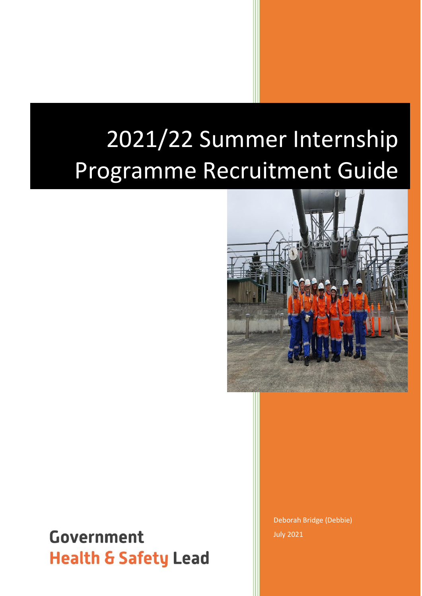# 2021/22 Summer Internship Programme Recruitment Guide



# **Government Health & Safety Lead**

Deborah Bridge (Debbie) July 2021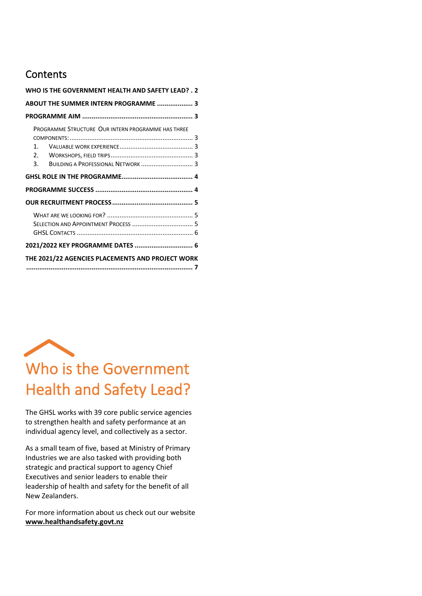### **Contents**

| WHO IS THE GOVERNMENT HEALTH AND SAFETY LEAD? . 2                                                                 |  |
|-------------------------------------------------------------------------------------------------------------------|--|
| ABOUT THE SUMMER INTERN PROGRAMME  3                                                                              |  |
|                                                                                                                   |  |
| PROGRAMME STRUCTURE OUR INTERN PROGRAMME HAS THREE<br>$1 \quad$<br>2.<br>BUILDING A PROFESSIONAL NETWORK  3<br>3. |  |
|                                                                                                                   |  |
|                                                                                                                   |  |
|                                                                                                                   |  |
|                                                                                                                   |  |
| 2021/2022 KEY PROGRAMME DATES  6                                                                                  |  |
| THE 2021/22 AGENCIES PLACEMENTS AND PROJECT WORK                                                                  |  |

<span id="page-1-0"></span>

The GHSL works with 39 core public service agencies to strengthen health and safety performance at an individual agency level, and collectively as a sector.

As a small team of five, based at Ministry of Primary Industries we are also tasked with providing both strategic and practical support to agency Chief Executives and senior leaders to enable their leadership of health and safety for the benefit of all New Zealanders.

For more information about us check out our website **[www.healthandsafety.govt.nz](file:///C:/Users/BridgeD/AppData/Local/Microsoft/Windows/INetCache/Content.Outlook/ELJRB8K9/www.healthandsafety.govt.nz)**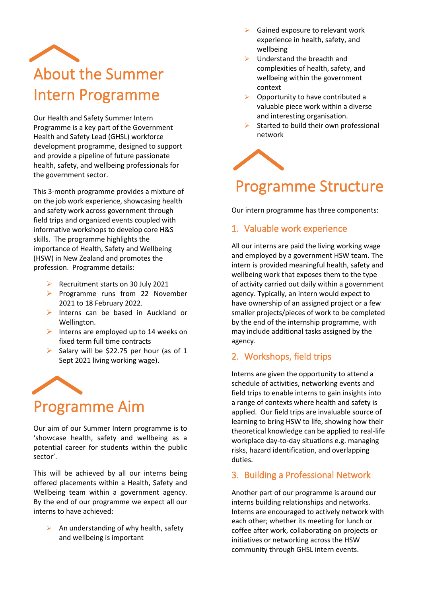<span id="page-2-0"></span>

Our Health and Safety Summer Intern Programme is a key part of the Government Health and Safety Lead (GHSL) workforce development programme, designed to support and provide a pipeline of future passionate health, safety, and wellbeing professionals for the government sector.

This 3-month programme provides a mixture of on the job work experience, showcasing health and safety work across government through field trips and organized events coupled with informative workshops to develop core H&S skills. The programme highlights the importance of Health, Safety and Wellbeing (HSW) in New Zealand and promotes the profession. Programme details:

- ➢ Recruitment starts on 30 July 2021
- ➢ Programme runs from 22 November 2021 to 18 February 2022.
- ➢ Interns can be based in Auckland or Wellington.
- $\triangleright$  Interns are employed up to 14 weeks on fixed term full time contracts
- $\triangleright$  Salary will be \$22.75 per hour (as of 1 Sept 2021 living working wage).

<span id="page-2-1"></span>

Our aim of our Summer Intern programme is to 'showcase health, safety and wellbeing as a potential career for students within the public sector'.

This will be achieved by all our interns being offered placements within a Health, Safety and Wellbeing team within a government agency. By the end of our programme we expect all our interns to have achieved:

 $\triangleright$  An understanding of why health, safety and wellbeing is important

- Gained exposure to relevant work experience in health, safety, and wellbeing
- ➢ Understand the breadth and complexities of health, safety, and wellbeing within the government context
- ➢ Opportunity to have contributed a valuable piece work within a diverse and interesting organisation.
- Started to build their own professional network



# <span id="page-2-2"></span>Programme Structure

Our intern programme has three components:

#### <span id="page-2-3"></span>1. Valuable work experience

All our interns are paid the living working wage and employed by a government HSW team. The intern is provided meaningful health, safety and wellbeing work that exposes them to the type of activity carried out daily within a government agency. Typically, an intern would expect to have ownership of an assigned project or a few smaller projects/pieces of work to be completed by the end of the internship programme, with may include additional tasks assigned by the agency.

#### <span id="page-2-4"></span>2. Workshops, field trips

Interns are given the opportunity to attend a schedule of activities, networking events and field trips to enable interns to gain insights into a range of contexts where health and safety is applied. Our field trips are invaluable source of learning to bring HSW to life, showing how their theoretical knowledge can be applied to real-life workplace day-to-day situations e.g. managing risks, hazard identification, and overlapping duties.

#### <span id="page-2-5"></span>3. Building a Professional Network

Another part of our programme is around our interns building relationships and networks. Interns are encouraged to actively network with each other; whether its meeting for lunch or coffee after work, collaborating on projects or initiatives or networking across the HSW community through GHSL intern events.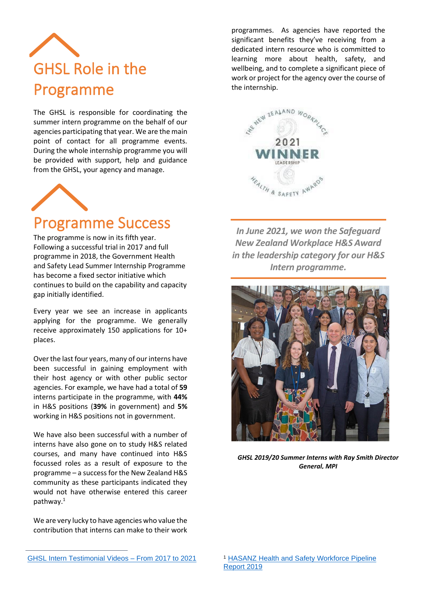<span id="page-3-0"></span>

The GHSL is responsible for coordinating the summer intern programme on the behalf of our agencies participating that year. We are the main point of contact for all programme events. During the whole internship programme you will be provided with support, help and guidance from the GHSL, your agency and manage.



# <span id="page-3-1"></span>Programme Success

The programme is now in its fifth year. Following a successful trial in 2017 and full programme in 2018, the Government Health and Safety Lead Summer Internship Programme has become a fixed sector initiative which continues to build on the capability and capacity gap initially identified.

Every year we see an increase in applicants applying for the programme. We generally receive approximately 150 applications for 10+ places.

Over the last four years, many of our interns have been successful in gaining employment with their host agency or with other public sector agencies. For example, we have had a total of **59** interns participate in the programme, with **44%**  in H&S positions (**39%** in government) and **5%** working in H&S positions not in government.

We have also been successful with a number of interns have also gone on to study H&S related courses, and many have continued into H&S focussed roles as a result of exposure to the programme – a success for the New Zealand H&S community as these participants indicated they would not have otherwise entered this career pathway.<sup>1</sup>

We are very lucky to have agencies who value the contribution that interns can make to their work

programmes. As agencies have reported the significant benefits they've receiving from a dedicated intern resource who is committed to learning more about health, safety, and wellbeing, and to complete a significant piece of work or project for the agency over the course of the internship.



*In June 2021, we won the Safeguard New Zealand Workplace H&S Award in the leadership category for our H&S Intern programme.*



*GHSL 2019/20 Summer Interns with Ray Smith Director General, MPI*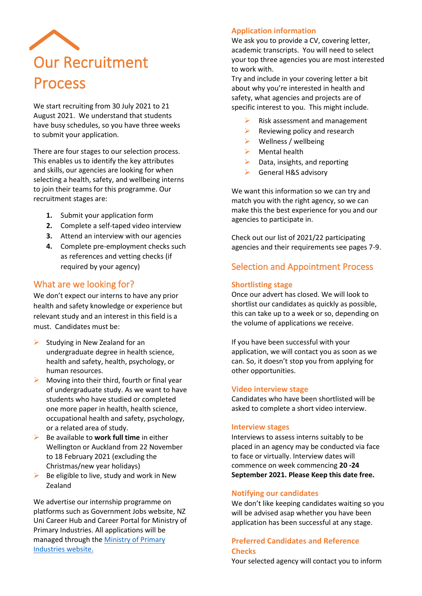<span id="page-4-0"></span>

We start recruiting from 30 July 2021 to 21 August 2021. We understand that students have busy schedules, so you have three weeks to submit your application.

There are four stages to our selection process. This enables us to identify the key attributes and skills, our agencies are looking for when selecting a health, safety, and wellbeing interns to join their teams for this programme. Our recruitment stages are:

- **1.** Submit your application form
- **2.** Complete a self-taped video interview
- **3.** Attend an interview with our agencies
- **4.** Complete pre-employment checks such as references and vetting checks (if required by your agency)

#### <span id="page-4-1"></span>What are we looking for?

We don't expect our interns to have any prior health and safety knowledge or experience but relevant study and an interest in this field is a must. Candidates must be:

- $\triangleright$  Studying in New Zealand for an undergraduate degree in health science, health and safety, health, psychology, or human resources.
- ➢ Moving into their third, fourth or final year of undergraduate study. As we want to have students who have studied or completed one more paper in health, health science, occupational health and safety, psychology, or a related area of study.
- ➢ Be available to **work full time** in either Wellington or Auckland from 22 November to 18 February 2021 (excluding the Christmas/new year holidays)
- $\triangleright$  Be eligible to live, study and work in New Zealand

We advertise our internship programme on platforms such as [Government Jobs website,](https://jobs.govt.nz/) NZ Uni Career Hub and Career Portal for Ministry of Primary Industries. All applications will be managed through the [Ministry of Primary](https://careers.mpi.govt.nz/)  [Industries](https://careers.mpi.govt.nz/) website.

#### **Application information**

We ask you to provide a CV, covering letter, academic transcripts. You will need to select your top three agencies you are most interested to work with.

Try and include in your covering letter a bit about why you're interested in health and safety, what agencies and projects are of specific interest to you. This might include.

- ➢ Risk assessment and management
- $\triangleright$  Reviewing policy and research
- $\triangleright$  Wellness / wellbeing
- $\triangleright$  Mental health
- $\triangleright$  Data, insights, and reporting
- ➢ General H&S advisory

We want this information so we can try and match you with the right agency, so we can make this the best experience for you and our agencies to participate in.

Check out our list of 2021/22 participating agencies and their requirements see pages 7-9.

#### <span id="page-4-2"></span>Selection and Appointment Process

#### **Shortlisting stage**

Once our advert has closed. We will look to shortlist our candidates as quickly as possible, this can take up to a week or so, depending on the volume of applications we receive.

If you have been successful with your application, we will contact you as soon as we can. So, it doesn't stop you from applying for other opportunities.

#### **Video interview stage**

Candidates who have been shortlisted will be asked to complete a short video interview.

#### **Interview stages**

Interviews to assess interns suitably to be placed in an agency may be conducted via face to face or virtually. Interview dates will commence on week commencing **20 -24 September 2021. Please Keep this date free.**

#### **Notifying our candidates**

We don't like keeping candidates waiting so you will be advised asap whether you have been application has been successful at any stage.

#### **Preferred Candidates and Reference Checks**

Your selected agency will contact you to inform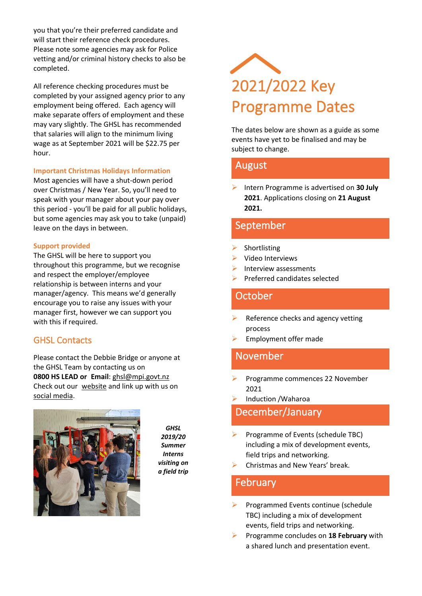you that you're their preferred candidate and will start their reference check procedures. Please note some agencies may ask for Police vetting and/or criminal history checks to also be completed.

All reference checking procedures must be completed by your assigned agency prior to any employment being offered. Each agency will make separate offers of employment and these may vary slightly. The GHSL has recommended that salaries will align to the minimum living wage as at September 2021 will be \$22.75 per hour.

#### **Important Christmas Holidays Information**

Most agencies will have a shut-down period over Christmas / New Year. So, you'll need to speak with your manager about your pay over this period - you'll be paid for all public holidays, but some agencies may ask you to take (unpaid) leave on the days in between.

#### **Support provided**

The GHSL will be here to support you throughout this programme, but we recognise and respect the employer/employee relationship is between interns and your manager/agency. This means we'd generally encourage you to raise any issues with your manager first, however we can support you with this if required.

#### <span id="page-5-0"></span>GHSL Contacts

Please contact the Debbie Bridge or anyone at the GHSL Team by contacting us on **0800 HS LEAD or Email**[: ghsl@mpi.govt.nz](mailto:ghsl@mpi.govt.nz) Check out our [website](http://www.healthandsafety.govt.nz/) and link up with us on [social media.](https://www.linkedin.com/company/ghsl)



*GHSL 2019/20 Summer Interns visiting on a field trip*

# <span id="page-5-1"></span>2021/2022 Key Programme Dates

The dates below are shown as a guide as some events have yet to be finalised and may be subject to change.

#### August

➢ Intern Programme is advertised on **30 July 2021**. Applications closing on **21 August 2021.**

#### September

- **Shortlisting**
- ➢ Video Interviews
- $\triangleright$  Interview assessments
- ➢ Preferred candidates selected

#### October

- Reference checks and agency vetting process
- ➢ Employment offer made

#### November

- ➢ Programme commences 22 November 2021
- ➢ Induction /Waharoa

#### December/January

- ➢ Programme of Events (schedule TBC) including a mix of development events, field trips and networking.
- ➢ Christmas and New Years' break.

#### February

- ➢ Programmed Events continue (schedule TBC) including a mix of development events, field trips and networking.
- ➢ Programme concludes on **18 February** with a shared lunch and presentation event.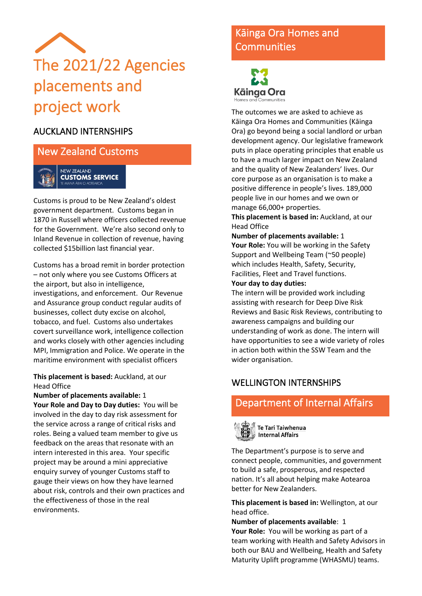<span id="page-6-0"></span>

#### AUCKLAND INTERNSHIPS

New Zealand Customs



Customs is proud to be New Zealand's oldest government department. Customs began in 1870 in Russell where officers collected revenue for the Government. We're also second only to Inland Revenue in collection of revenue, having collected \$15billion last financial year.

Customs has a broad remit in border protection – not only where you see Customs Officers at the airport, but also in intelligence, investigations, and enforcement. Our Revenue and Assurance group conduct regular audits of businesses, collect duty excise on alcohol, tobacco, and fuel. Customs also undertakes covert surveillance work, intelligence collection and works closely with other agencies including MPI, Immigration and Police. We operate in the maritime environment with specialist officers

**This placement is based:** Auckland, at our Head Office

**Number of placements available:** 1 **Your Role and Day to Day duties:**You will be involved in the day to day risk assessment for the service across a range of critical risks and roles. Being a valued team member to give us feedback on the areas that resonate with an intern interested in this area. Your specific project may be around a mini appreciative enquiry survey of younger Customs staff to gauge their views on how they have learned about risk, controls and their own practices and the effectiveness of those in the real environments.

# Kāinga Ora Homes and **Communities**

Kāinga Ora Homes and Communities

The outcomes we are asked to achieve as Kāinga Ora Homes and Communities (Kāinga Ora) go beyond being a social landlord or urban development agency. Our legislative framework puts in place operating principles that enable us to have a much larger impact on New Zealand and the quality of New Zealanders' lives. Our core purpose as an organisation is to make a positive difference in people's lives. 189,000 people live in our homes and we own or manage 66,000+ properties.

**This placement is based in:** Auckland, at our Head Office

#### **Number of placements available:** 1

**Your Role:** You will be working in the Safety Support and Wellbeing Team (~50 people) which includes Health, Safety, Security, Facilities, Fleet and Travel functions.

#### **Your day to day duties:**

The intern will be provided work including assisting with research for Deep Dive Risk Reviews and Basic Risk Reviews, contributing to awareness campaigns and building our understanding of work as done. The intern will have opportunities to see a wide variety of roles in action both within the SSW Team and the wider organisation.

#### WELLINGTON INTERNSHIPS

### Department of Internal Affairs



Te Tari Taiwhenua **Internal Affairs** 

The Department's purpose is to serve and connect people, communities, and government to build a safe, prosperous, and respected nation. It's all about helping make Aotearoa better for New Zealanders.

**This placement is based in:** Wellington, at our head office.

**Number of placements available**: 1 **Your Role:** You will be working as part of a team working with Health and Safety Advisors in both our BAU and Wellbeing, Health and Safety Maturity Uplift programme (WHASMU) teams.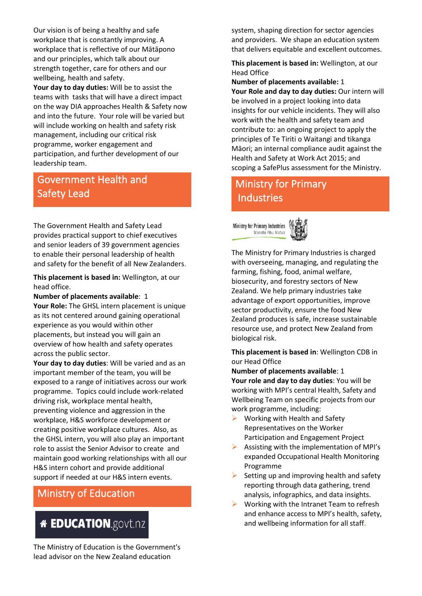Our vision is of being a healthy and safe workplace that is constantly improving. A workplace that is reflective of our Mātāpono and our principles, which talk about our strength together, care for others and our wellbeing, health and safety.

**Your day to day duties:** Will be to assist the teams with tasks that will have a direct impact on the way DIA approaches Health & Safety now and into the future. Your role will be varied but will include working on health and safety risk management, including our critical risk programme, worker engagement and participation, and further development of our leadership team.

## Government Health and Safety Lead

The Government Health and Safety Lead provides practical support to chief executives and senior leaders of 39 government agencies to enable their personal leadership of health and safety for the benefit of all New Zealanders.

**This placement is based in:** Wellington, at our head office.

**Number of placements available**: 1

**Your Role:** The GHSL intern placement is unique as its not centered around gaining operational experience as you would within other placements, but instead you will gain an overview of how health and safety operates across the public sector.

**Your day to day duties**: Will be varied and as an important member of the team, you will be exposed to a range of initiatives across our work programme. Topics could include work-related driving risk, workplace mental health, preventing violence and aggression in the

workplace, H&S workforce development or creating positive workplace cultures. Also, as the GHSL intern, you will also play an important role to assist the Senior Advisor to create and maintain good working relationships with all our H&S intern cohort and provide additional support if needed at our H&S intern events.

# Ministry of Education

# **<sup>\*</sup> EDUCATION.govt.nz**

The Ministry of Education is the Government's lead advisor on the New Zealand education

system, shaping direction for sector agencies and providers. We shape an education system that delivers equitable and excellent outcomes.

**This placement is based in:** Wellington, at our Head Office

**Number of placements available:** 1 **Your Role and day to day duties:** Our intern will be involved in a project looking into data insights for our vehicle incidents. They will also work with the health and safety team and contribute to: an ongoing project to apply the principles of Te Tiriti o Waitangi and tikanga Māori; an internal compliance audit against the Health and Safety at Work Act 2015; and scoping a SafePlus assessment for the Ministry.

# Ministry for Primary **Industries**





The Ministry for Primary Industries is charged with overseeing, managing, and regulating the farming, fishing, food, animal welfare, biosecurity, and forestry sectors of New Zealand. We help primary industries take advantage of export opportunities, improve sector productivity, ensure the food New Zealand produces is safe, increase sustainable resource use, and protect New Zealand from biological risk.

**This placement is based in**: Wellington CDB in our Head Office

**Number of placements available**: 1 **Your role and day to day duties**: You will be working with MPI's central Health, Safety and Wellbeing Team on specific projects from our work programme, including:

- $\triangleright$  Working with Health and Safety Representatives on the Worker Participation and Engagement Project
- $\triangleright$  Assisting with the implementation of MPI's expanded Occupational Health Monitoring Programme
- $\triangleright$  Setting up and improving health and safety reporting through data gathering, trend analysis, infographics, and data insights.
- $\triangleright$  Working with the Intranet Team to refresh and enhance access to MPI's health, safety, and wellbeing information for all staff**.**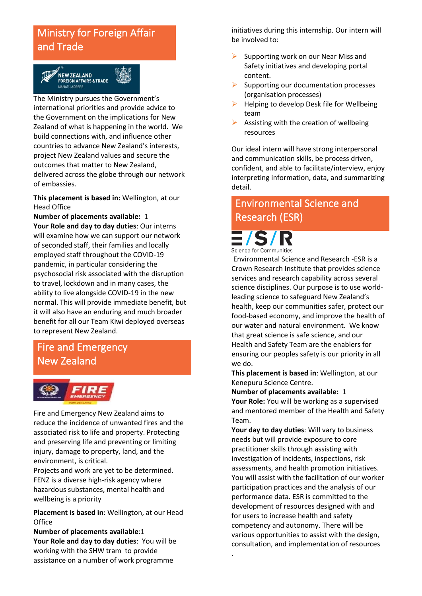# Ministry for Foreign Affair and Trade



The Ministry pursues the Government's international priorities and provide advice to the Government on the implications for New Zealand of what is happening in the world. We build connections with, and influence other countries to advance New Zealand's interests, project New Zealand values and secure the outcomes that matter to New Zealand, delivered across the globe through our network of embassies.

**This placement is based in:** Wellington, at our Head Office

**Number of placements available:** 1

**Your Role and day to day duties**: Our interns will examine how we can support our network of seconded staff, their families and locally employed staff throughout the COVID-19 pandemic, in particular considering the psychosocial risk associated with the disruption to travel, lockdown and in many cases, the ability to live alongside COVID-19 in the new normal. This will provide immediate benefit, but it will also have an enduring and much broader benefit for all our Team Kiwi deployed overseas to represent New Zealand.

## Fire and Emergency New Zealand



Fire and Emergency New Zealand aims to reduce the incidence of unwanted fires and the associated risk to life and property. Protecting and preserving life and preventing or limiting injury, damage to property, land, and the environment, is critical.

Projects and work are yet to be determined. FENZ is a diverse high-risk agency where hazardous substances, mental health and wellbeing is a priority

**Placement is based in**: Wellington, at our Head **Office** 

**Number of placements available**:1 **Your Role and day to day duties**: You will be working with the SHW tram to provide assistance on a number of work programme

initiatives during this internship. Our intern will be involved to:

- $\triangleright$  Supporting work on our Near Miss and Safety initiatives and developing portal content.
- ➢ Supporting our documentation processes (organisation processes)
- ➢ Helping to develop Desk file for Wellbeing team
- $\triangleright$  Assisting with the creation of wellbeing resources

Our ideal intern will have strong interpersonal and communication skills, be process driven, confident, and able to facilitate/interview, enjoy interpreting information, data, and summarizing detail.

# Environmental Science and Research (ESR)

Science for Communities

Environmental Science and Research -ESR is a Crown Research Institute that provides science services and research capability across several science disciplines. Our purpose is to use worldleading science to safeguard New Zealand's health, keep our communities safer, protect our food-based economy, and improve the health of our water and natural environment. We know that great science is safe science, and our Health and Safety Team are the enablers for ensuring our peoples safety is our priority in all we do.

**This placement is based in**: Wellington, at our Kenepuru Science Centre.

**Number of placements available:** 1 **Your Role:** You will be working as a supervised and mentored member of the Health and Safety Team.

**Your day to day duties**: Will vary to business needs but will provide exposure to core practitioner skills through assisting with investigation of incidents, inspections, risk assessments, and health promotion initiatives. You will assist with the facilitation of our worker participation practices and the analysis of our performance data. ESR is committed to the development of resources designed with and for users to increase health and safety competency and autonomy. There will be various opportunities to assist with the design, consultation, and implementation of resources

.